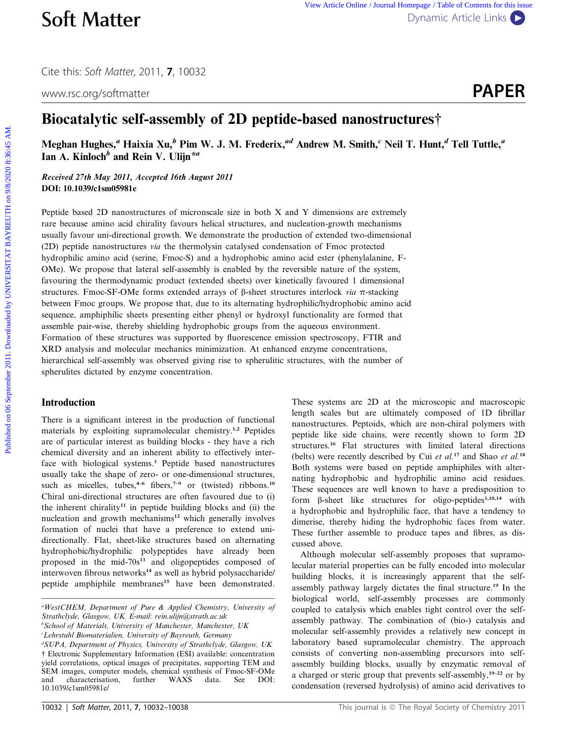Cite this: Soft Matter, 2011, <sup>7</sup>, 10032

www.rsc.org/softmatter **PAPER** 



# Biocatalytic self-assembly of 2D peptide-based nanostructures†

Meghan Hughes,<sup>a</sup> Haixia Xu,<sup>b</sup> Pim W. J. M. Frederix,<sup>ad</sup> Andrew M. Smith,<sup>c</sup> Neil T. Hunt,<sup>d</sup> Tell Tuttle,<sup>a</sup> Ian A. Kinloch<sup>b</sup> and Rein V. Ulijn<sup>\*a</sup>

Received 27th May 2011, Accepted 16th August 2011 DOI: 10.1039/c1sm05981e

Peptide based 2D nanostructures of micronscale size in both X and Y dimensions are extremely rare because amino acid chirality favours helical structures, and nucleation-growth mechanisms usually favour uni-directional growth. We demonstrate the production of extended two-dimensional (2D) peptide nanostructures via the thermolysin catalysed condensation of Fmoc protected hydrophilic amino acid (serine, Fmoc-S) and a hydrophobic amino acid ester (phenylalanine, F-OMe). We propose that lateral self-assembly is enabled by the reversible nature of the system, favouring the thermodynamic product (extended sheets) over kinetically favoured 1 dimensional structures. Fmoc-SF-OMe forms extended arrays of  $\beta$ -sheet structures interlock via  $\pi$ -stacking between Fmoc groups. We propose that, due to its alternating hydrophilic/hydrophobic amino acid sequence, amphiphilic sheets presenting either phenyl or hydroxyl functionality are formed that assemble pair-wise, thereby shielding hydrophobic groups from the aqueous environment. Formation of these structures was supported by fluorescence emission spectroscopy, FTIR and XRD analysis and molecular mechanics minimization. At enhanced enzyme concentrations, hierarchical self-assembly was observed giving rise to spherulitic structures, with the number of spherulites dictated by enzyme concentration. **Soft Matter can be a complete of the september 2011.** The space of the september 2011. The september 2011. The september 2011. The september 2011. The september 2011. The september 2011. In the september 2012. In A. Kink

# Introduction

There is a significant interest in the production of functional materials by exploiting supramolecular chemistry.1,2 Peptides are of particular interest as building blocks - they have a rich chemical diversity and an inherent ability to effectively interface with biological systems.<sup>3</sup> Peptide based nanostructures usually take the shape of zero- or one-dimensional structures, such as micelles, tubes,<sup>4-6</sup> fibers,<sup>7-9</sup> or (twisted) ribbons.<sup>10</sup> Chiral uni-directional structures are often favoured due to (i) the inherent chirality<sup>11</sup> in peptide building blocks and (ii) the nucleation and growth mechanisms<sup>12</sup> which generally involves formation of nuclei that have a preference to extend unidirectionally. Flat, sheet-like structures based on alternating hydrophobic/hydrophilic polypeptides have already been proposed in the mid-70s<sup>13</sup> and oligopeptides composed of interwoven fibrous networks<sup>14</sup> as well as hybrid polysaccharide/ peptide amphiphile membranes<sup>15</sup> have been demonstrated.

b School of Materials, University of Manchester, Manchester, UK c Lehrstuhl Biomaterialien, University of Bayreuth, Germany

These systems are 2D at the microscopic and macroscopic length scales but are ultimately composed of 1D fibrillar nanostructures. Peptoids, which are non-chiral polymers with peptide like side chains, were recently shown to form 2D structures.<sup>16</sup> Flat structures with limited lateral directions (belts) were recently described by Cui et al.<sup>17</sup> and Shao et al.<sup>18</sup> Both systems were based on peptide amphiphiles with alternating hydrophobic and hydrophilic amino acid residues. These sequences are well known to have a predisposition to form  $\beta$ -sheet like structures for oligo-peptides<sup>3,10,14</sup> with a hydrophobic and hydrophilic face, that have a tendency to dimerise, thereby hiding the hydrophobic faces from water. These further assemble to produce tapes and fibres, as discussed above.

Although molecular self-assembly proposes that supramolecular material properties can be fully encoded into molecular building blocks, it is increasingly apparent that the selfassembly pathway largely dictates the final structure.<sup>19</sup> In the biological world, self-assembly processes are commonly coupled to catalysis which enables tight control over the selfassembly pathway. The combination of (bio-) catalysis and molecular self-assembly provides a relatively new concept in laboratory based supramolecular chemistry. The approach consists of converting non-assembling precursors into selfassembly building blocks, usually by enzymatic removal of a charged or steric group that prevents self-assembly,<sup>19-22</sup> or by condensation (reversed hydrolysis) of amino acid derivatives to

a WestCHEM, Department of Pure & Applied Chemistry, University of Strathclyde, Glasgow, UK. E-mail: rein.ulijn@strath.ac.uk

d SUPA, Department of Physics, University of Strathclyde, Glasgow, UK † Electronic Supplementary Information (ESI) available: concentration yield correlations, optical images of precipitates, supporting TEM and SEM images, computer models, chemical synthesis of Fmoc-SF-OMe and characterisation, further WAXS data. See DOI: 10.1039/c1sm05981e/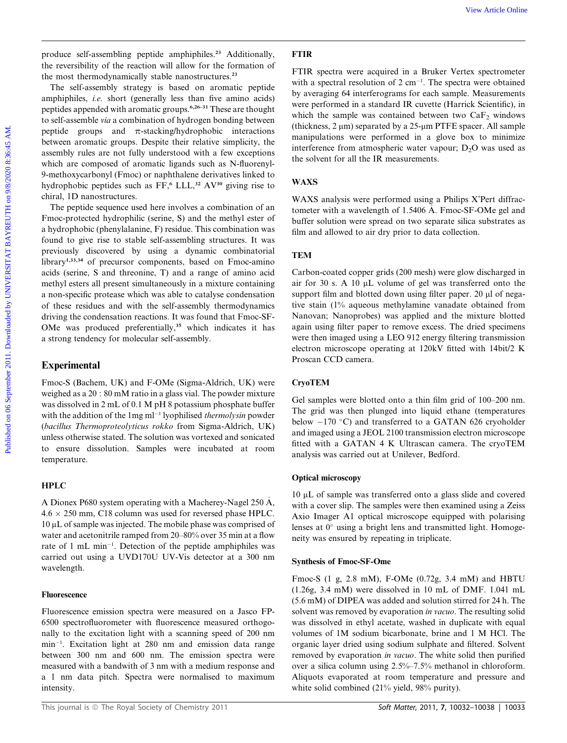produce self-assembling peptide amphiphiles.<sup>23</sup> Additionally, the reversibility of the reaction will allow for the formation of the most thermodynamically stable nanostructures.<sup>23</sup>

The self-assembly strategy is based on aromatic peptide amphiphiles, i.e. short (generally less than five amino acids) peptides appended with aromatic groups.6,26–31 These are thought to self-assemble via a combination of hydrogen bonding between peptide groups and  $\pi$ -stacking/hydrophobic interactions between aromatic groups. Despite their relative simplicity, the assembly rules are not fully understood with a few exceptions which are composed of aromatic ligands such as N-fluorenyl-9-methoxycarbonyl (Fmoc) or naphthalene derivatives linked to hydrophobic peptides such as FF,<sup>6</sup> LLL,<sup>32</sup> AV<sup>30</sup> giving rise to chiral, 1D nanostructures.

The peptide sequence used here involves a combination of an Fmoc-protected hydrophilic (serine, S) and the methyl ester of a hydrophobic (phenylalanine, F) residue. This combination was found to give rise to stable self-assembling structures. It was previously discovered by using a dynamic combinatorial library<sup>1,33,34</sup> of precursor components, based on Fmoc-amino acids (serine, S and threonine, T) and a range of amino acid methyl esters all present simultaneously in a mixture containing a non-specific protease which was able to catalyse condensation of these residues and with the self-assembly thermodynamics driving the condensation reactions. It was found that Fmoc-SF-OMe was produced preferentially,<sup>35</sup> which indicates it has a strong tendency for molecular self-assembly. Produce solid agreptide ampliphines." Additionally. FTIR the received on 8 september 2011. The product of the material of the correspondent and the material of the material of the material of the material of the correspon

# Experimental

Fmoc-S (Bachem, UK) and F-OMe (Sigma-Aldrich, UK) were weighed as a 20 : 80 mM ratio in a glass vial. The powder mixture was dissolved in 2 mL of 0.1 M pH 8 potassium phosphate buffer with the addition of the  $1mg$  ml<sup>-1</sup> lyophilised *thermolysin* powder (bacillus Thermoproteolyticus rokko from Sigma-Aldrich, UK) unless otherwise stated. The solution was vortexed and sonicated to ensure dissolution. Samples were incubated at room temperature.

## HPLC

A Dionex P680 system operating with a Macherey-Nagel 250 A,  $4.6 \times 250$  mm, C18 column was used for reversed phase HPLC.  $10 \mu$ L of sample was injected. The mobile phase was comprised of water and acetonitrile ramped from 20–80% over 35 min at a flow rate of 1 mL min<sup>-1</sup>. Detection of the peptide amphiphiles was carried out using a UVD170U UV-Vis detector at a 300 nm wavelength.

#### Fluorescence

Fluorescence emission spectra were measured on a Jasco FP-6500 spectrofluorometer with fluorescence measured orthogonally to the excitation light with a scanning speed of 200 nm min<sup>-1</sup>. Excitation light at 280 nm and emission data range between 300 nm and 600 nm. The emission spectra were measured with a bandwith of 3 nm with a medium response and a 1 nm data pitch. Spectra were normalised to maximum intensity.

# FTIR

FTIR spectra were acquired in a Bruker Vertex spectrometer with a spectral resolution of  $2 \text{ cm}^{-1}$ . The spectra were obtained by averaging 64 interferograms for each sample. Measurements were performed in a standard IR cuvette (Harrick Scientific), in which the sample was contained between two  $CaF<sub>2</sub>$  windows (thickness,  $2 \mu m$ ) separated by a  $25 \mu m$  PTFE spacer. All sample manipulations were performed in a glove box to minimize interference from atmospheric water vapour;  $D_2O$  was used as the solvent for all the IR measurements.

# WAXS

WAXS analysis were performed using a Philips X'Pert diffractometer with a wavelength of 1.5406 A. Fmoc-SF-OMe gel and buffer solution were spread on two separate silica substrates as film and allowed to air dry prior to data collection.

# **TEM**

Carbon-coated copper grids (200 mesh) were glow discharged in air for 30 s. A 10 µL volume of gel was transferred onto the support film and blotted down using filter paper. 20 µl of negative stain (1% aqueous methylamine vanadate obtained from Nanovan; Nanoprobes) was applied and the mixture blotted again using filter paper to remove excess. The dried specimens were then imaged using a LEO 912 energy filtering transmission electron microscope operating at 120kV fitted with 14bit/2 K Proscan CCD camera.

# CryoTEM

Gel samples were blotted onto a thin film grid of 100–200 nm. The grid was then plunged into liquid ethane (temperatures below  $-170$  °C) and transferred to a GATAN 626 cryoholder and imaged using a JEOL 2100 transmission electron microscope fitted with a GATAN 4 K Ultrascan camera. The cryoTEM analysis was carried out at Unilever, Bedford.

### Optical microscopy

 $10 \mu L$  of sample was transferred onto a glass slide and covered with a cover slip. The samples were then examined using a Zeiss Axio Imager A1 optical microscope equipped with polarising lenses at  $0^{\circ}$  using a bright lens and transmitted light. Homogeneity was ensured by repeating in triplicate.

#### Synthesis of Fmoc-SF-Ome

Fmoc-S (1 g, 2.8 mM), F-OMe (0.72g, 3.4 mM) and HBTU (1.26g, 3.4 mM) were dissolved in 10 mL of DMF. 1.041 mL (5.6 mM) of DIPEA was added and solution stirred for 24 h. The solvent was removed by evaporation in vacuo. The resulting solid was dissolved in ethyl acetate, washed in duplicate with equal volumes of 1M sodium bicarbonate, brine and 1 M HCl. The organic layer dried using sodium sulphate and filtered. Solvent removed by evaporation in vacuo. The white solid then purified over a silica column using 2.5%–7.5% methanol in chloroform. Aliquots evaporated at room temperature and pressure and white solid combined (21% yield, 98% purity).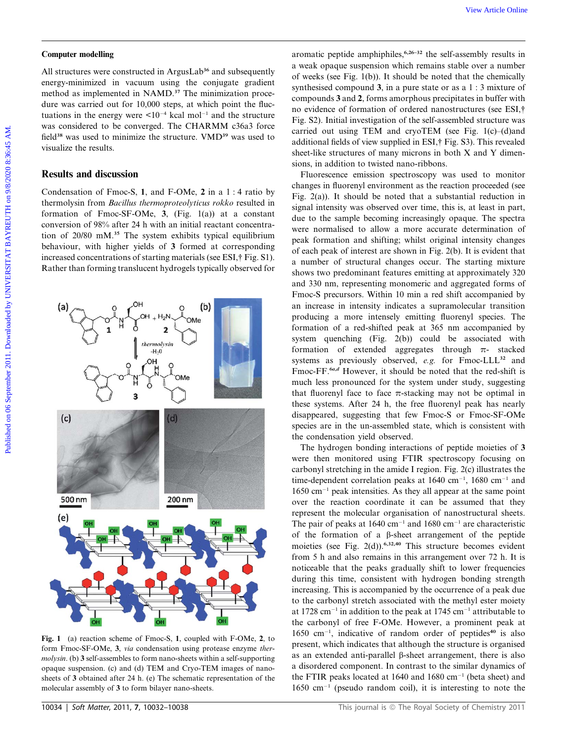#### Computer modelling

All structures were constructed in ArgusLab<sup>36</sup> and subsequently energy-minimized in vacuum using the conjugate gradient method as implemented in NAMD.<sup>37</sup> The minimization procedure was carried out for 10,000 steps, at which point the fluctuations in the energy were  $\leq 10^{-4}$  kcal mol<sup>-1</sup> and the structure was considered to be converged. The CHARMM c36a3 force field<sup>38</sup> was used to minimize the structure. VMD<sup>39</sup> was used to visualize the results.

## Results and discussion

Condensation of Fmoc-S, 1, and F-OMe, 2 in a 1 : 4 ratio by thermolysin from Bacillus thermoproteolyticus rokko resulted in formation of Fmoc-SF-OMe, 3, (Fig. 1(a)) at a constant conversion of 98% after 24 h with an initial reactant concentration of 20/80 mM.<sup>35</sup> The system exhibits typical equilibrium behaviour, with higher yields of 3 formed at corresponding increased concentrations of starting materials (see ESI,† Fig. S1). Rather than forming translucent hydrogels typically observed for



Fig. 1 (a) reaction scheme of Fmoc-S, 1, coupled with F-OMe, 2, to form Fmoc-SF-OMe, 3, via condensation using protease enzyme thermolysin. (b) 3 self-assembles to form nano-sheets within a self-supporting opaque suspension. (c) and (d) TEM and Cryo-TEM images of nanosheets of 3 obtained after 24 h. (e) The schematic representation of the molecular assembly of 3 to form bilayer nano-sheets.

aromatic peptide amphiphiles,  $6,26-32$  the self-assembly results in a weak opaque suspension which remains stable over a number of weeks (see Fig. 1(b)). It should be noted that the chemically synthesised compound 3, in a pure state or as a 1 : 3 mixture of compounds 3 and 2, forms amorphous precipitates in buffer with no evidence of formation of ordered nanostructures (see ESI,† Fig. S2). Initial investigation of the self-assembled structure was carried out using TEM and cryoTEM (see Fig. 1(c)–(d)and additional fields of view supplied in ESI,† Fig. S3). This revealed sheet-like structures of many microns in both X and Y dimensions, in addition to twisted nano-ribbons.

Fluorescence emission spectroscopy was used to monitor changes in fluorenyl environment as the reaction proceeded (see Fig. 2(a)). It should be noted that a substantial reduction in signal intensity was observed over time, this is, at least in part, due to the sample becoming increasingly opaque. The spectra were normalised to allow a more accurate determination of peak formation and shifting; whilst original intensity changes of each peak of interest are shown in Fig. 2(b). It is evident that a number of structural changes occur. The starting mixture shows two predominant features emitting at approximately 320 and 330 nm, representing monomeric and aggregated forms of Fmoc-S precursors. Within 10 min a red shift accompanied by an increase in intensity indicates a supramolecular transition producing a more intensely emitting fluorenyl species. The formation of a red-shifted peak at 365 nm accompanied by system quenching (Fig. 2(b)) could be associated with formation of extended aggregates through  $\pi$ - stacked systems as previously observed, e.g. for Fmoc-LLL<sup>32</sup> and Fmoc-FF.<sup>6a,d</sup> However, it should be noted that the red-shift is much less pronounced for the system under study, suggesting that fluorenyl face to face  $\pi$ -stacking may not be optimal in these systems. After 24 h, the free fluorenyl peak has nearly disappeared, suggesting that few Fmoc-S or Fmoc-SF-OMe species are in the un-assembled state, which is consistent with the condensation yield observed. Computer modelline<br>
Altanceus view Article States (as applied by a security period on a security and subsequently and subsequently and the extent of the security of the security of the security of the security of the secu

The hydrogen bonding interactions of peptide moieties of 3 were then monitored using FTIR spectroscopy focusing on carbonyl stretching in the amide I region. Fig. 2(c) illustrates the time-dependent correlation peaks at  $1640 \text{ cm}^{-1}$ ,  $1680 \text{ cm}^{-1}$  and  $1650$  cm<sup>-1</sup> peak intensities. As they all appear at the same point over the reaction coordinate it can be assumed that they represent the molecular organisation of nanostructural sheets. The pair of peaks at  $1640 \text{ cm}^{-1}$  and  $1680 \text{ cm}^{-1}$  are characteristic of the formation of a  $\beta$ -sheet arrangement of the peptide moieties (see Fig. 2(d)).<sup>6,32,40</sup> This structure becomes evident from 5 h and also remains in this arrangement over 72 h. It is noticeable that the peaks gradually shift to lower frequencies during this time, consistent with hydrogen bonding strength increasing. This is accompanied by the occurrence of a peak due to the carbonyl stretch associated with the methyl ester moiety at 1728 cm<sup>-1</sup> in addition to the peak at 1745 cm<sup>-1</sup> attributable to the carbonyl of free F-OMe. However, a prominent peak at  $1650 \text{ cm}^{-1}$ , indicative of random order of peptides<sup>40</sup> is also present, which indicates that although the structure is organised as an extended anti-parallel  $\beta$ -sheet arrangement, there is also a disordered component. In contrast to the similar dynamics of the FTIR peaks located at 1640 and 1680  $cm^{-1}$  (beta sheet) and  $1650 \text{ cm}^{-1}$  (pseudo random coil), it is interesting to note the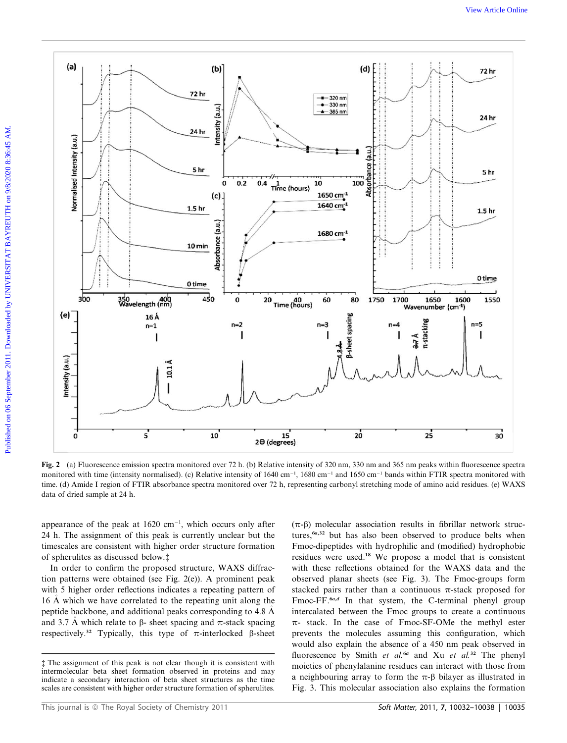

Fig. 2 (a) Fluorescence emission spectra monitored over 72 h. (b) Relative intensity of 320 nm, 330 nm and 365 nm peaks within fluorescence spectra monitored with time (intensity normalised). (c) Relative intensity of  $1640 \text{ cm}^{-1}$ ,  $1680 \text{ cm}^{-1}$  and  $1650 \text{ cm}^{-1}$  bands within FTIR spectra monitored with time. (d) Amide I region of FTIR absorbance spectra monitored over 72 h, representing carbonyl stretching mode of amino acid residues. (e) WAXS data of dried sample at 24 h.

appearance of the peak at  $1620 \text{ cm}^{-1}$ , which occurs only after 24 h. The assignment of this peak is currently unclear but the timescales are consistent with higher order structure formation of spherulites as discussed below.‡

In order to confirm the proposed structure, WAXS diffraction patterns were obtained (see Fig. 2(e)). A prominent peak with 5 higher order reflections indicates a repeating pattern of 16 A which we have correlated to the repeating unit along the peptide backbone, and additional peaks corresponding to 4.8 A and 3.7 Å which relate to  $\beta$ - sheet spacing and  $\pi$ -stack spacing respectively.<sup>32</sup> Typically, this type of  $\pi$ -interlocked  $\beta$ -sheet

This journal is © The Royal Society of Chemistry 2011 Soft Matter, 2011, 7, 10032–10038 | 10035

 $(\pi-\beta)$  molecular association results in fibrillar network structures, $6a,32$  but has also been observed to produce belts when Fmoc-dipeptides with hydrophilic and (modified) hydrophobic residues were used.<sup>18</sup> We propose a model that is consistent with these reflections obtained for the WAXS data and the observed planar sheets (see Fig. 3). The Fmoc-groups form stacked pairs rather than a continuous  $\pi$ -stack proposed for Fmoc-FF.<sup>6a,d</sup> In that system, the C-terminal phenyl group intercalated between the Fmoc groups to create a continuous  $\pi$ - stack. In the case of Fmoc-SF-OMe the methyl ester prevents the molecules assuming this configuration, which would also explain the absence of a 450 nm peak observed in fluorescence by Smith et al.<sup>6a</sup> and Xu et al.<sup>32</sup> The phenyl moieties of phenylalanine residues can interact with those from a neighbouring array to form the  $\pi$ - $\beta$  bilayer as illustrated in Fig. 3. This molecular association also explains the formation

<sup>‡</sup> The assignment of this peak is not clear though it is consistent with intermolecular beta sheet formation observed in proteins and may indicate a secondary interaction of beta sheet structures as the time scales are consistent with higher order structure formation of spherulites.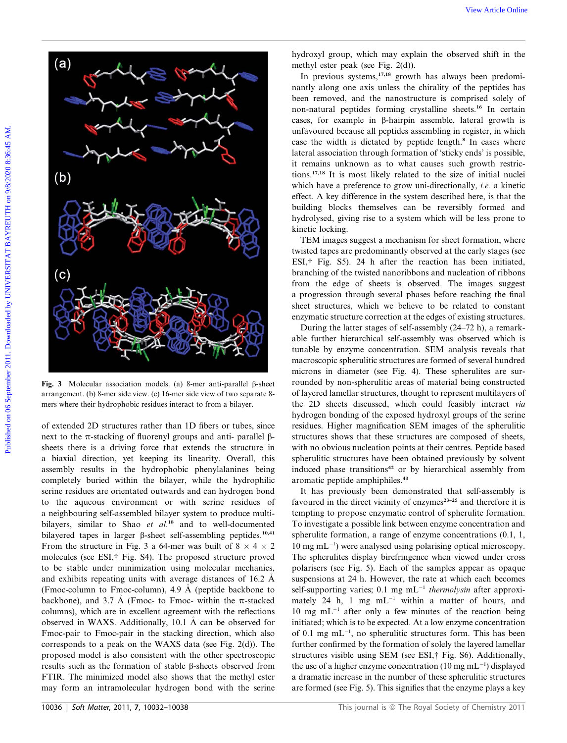

Fig. 3 Molecular association models. (a) 8-mer anti-parallel  $\beta$ -sheet arrangement. (b) 8-mer side view. (c) 16-mer side view of two separate 8 mers where their hydrophobic residues interact to from a bilayer.

of extended 2D structures rather than 1D fibers or tubes, since next to the  $\pi$ -stacking of fluorenyl groups and anti- parallel  $\beta$ sheets there is a driving force that extends the structure in a biaxial direction, yet keeping its linearity. Overall, this assembly results in the hydrophobic phenylalanines being completely buried within the bilayer, while the hydrophilic serine residues are orientated outwards and can hydrogen bond to the aqueous environment or with serine residues of a neighbouring self-assembled bilayer system to produce multibilayers, similar to Shao et  $al.^{18}$  and to well-documented bilayered tapes in larger  $\beta$ -sheet self-assembling peptides.<sup>10,41</sup> From the structure in Fig. 3 a 64-mer was built of  $8 \times 4 \times 2$ molecules (see ESI,† Fig. S4). The proposed structure proved to be stable under minimization using molecular mechanics, and exhibits repeating units with average distances of 16.2 A (Fmoc-column to Fmoc-column), 4.9 A (peptide backbone to backbone), and 3.7 Å (Fmoc- to Fmoc- within the  $\pi$ -stacked columns), which are in excellent agreement with the reflections observed in WAXS. Additionally, 10.1 A can be observed for Fmoc-pair to Fmoc-pair in the stacking direction, which also corresponds to a peak on the WAXS data (see Fig. 2(d)). The proposed model is also consistent with the other spectroscopic results such as the formation of stable  $\beta$ -sheets observed from FTIR. The minimized model also shows that the methyl ester may form an intramolecular hydrogen bond with the serine

hydroxyl group, which may explain the observed shift in the methyl ester peak (see Fig. 2(d)).

In previous systems, $17,18$  growth has always been predominantly along one axis unless the chirality of the peptides has been removed, and the nanostructure is comprised solely of non-natural peptides forming crystalline sheets.<sup>16</sup> In certain cases, for example in b-hairpin assemble, lateral growth is unfavoured because all peptides assembling in register, in which case the width is dictated by peptide length.<sup>8</sup> In cases where lateral association through formation of 'sticky ends' is possible, it remains unknown as to what causes such growth restrictions.17,18 It is most likely related to the size of initial nuclei which have a preference to grow uni-directionally, *i.e.* a kinetic effect. A key difference in the system described here, is that the building blocks themselves can be reversibly formed and hydrolysed, giving rise to a system which will be less prone to kinetic locking.

TEM images suggest a mechanism for sheet formation, where twisted tapes are predominantly observed at the early stages (see ESI,† Fig. S5). 24 h after the reaction has been initiated, branching of the twisted nanoribbons and nucleation of ribbons from the edge of sheets is observed. The images suggest a progression through several phases before reaching the final sheet structures, which we believe to be related to constant enzymatic structure correction at the edges of existing structures.

During the latter stages of self-assembly (24–72 h), a remarkable further hierarchical self-assembly was observed which is tunable by enzyme concentration. SEM analysis reveals that macroscopic spherulitic structures are formed of several hundred microns in diameter (see Fig. 4). These spherulites are surrounded by non-spherulitic areas of material being constructed of layered lamellar structures, thought to represent multilayers of the 2D sheets discussed, which could feasibly interact via hydrogen bonding of the exposed hydroxyl groups of the serine residues. Higher magnification SEM images of the spherulitic structures shows that these structures are composed of sheets, with no obvious nucleation points at their centres. Peptide based spherulitic structures have been obtained previously by solvent induced phase transitions<sup>42</sup> or by hierarchical assembly from aromatic peptide amphiphiles.<sup>43</sup>

It has previously been demonstrated that self-assembly is favoured in the direct vicinity of enzymes $23-25$  and therefore it is tempting to propose enzymatic control of spherulite formation. To investigate a possible link between enzyme concentration and spherulite formation, a range of enzyme concentrations (0.1, 1,  $10 \text{ mg } \text{mL}^{-1}$ ) were analysed using polarising optical microscopy. The spherulites display birefringence when viewed under cross polarisers (see Fig. 5). Each of the samples appear as opaque suspensions at 24 h. However, the rate at which each becomes self-supporting varies; 0.1 mg  $mL^{-1}$  thermolysin after approximately 24 h, 1 mg  $mL^{-1}$  within a matter of hours, and 10 mg m $L^{-1}$  after only a few minutes of the reaction being initiated; which is to be expected. At a low enzyme concentration of 0.1 mg  $mL^{-1}$ , no spherulitic structures form. This has been further confirmed by the formation of solely the layered lamellar structures visible using SEM (see ESI,† Fig. S6). Additionally, the use of a higher enzyme concentration (10 mg mL $^{-1}$ ) displayed a dramatic increase in the number of these spherulitic structures are formed (see Fig. 5). This signifies that the enzyme plays a key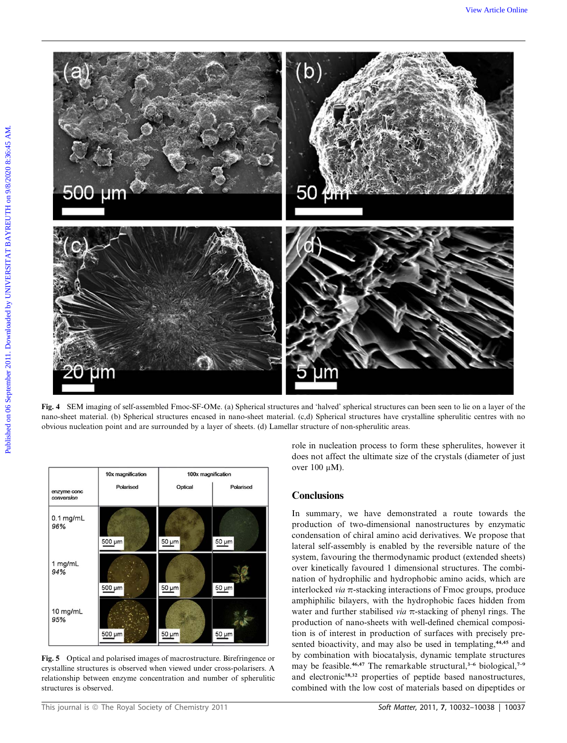

Fig. 4 SEM imaging of self-assembled Fmoc-SF-OMe. (a) Spherical structures and 'halved' spherical structures can been seen to lie on a layer of the nano-sheet material. (b) Spherical structures encased in nano-sheet material. (c,d) Spherical structures have crystalline spherulitic centres with no obvious nucleation point and are surrounded by a layer of sheets. (d) Lamellar structure of non-spherulitic areas.

|                           | 10x magnification | 100x magnification |            |
|---------------------------|-------------------|--------------------|------------|
| enzyme conc<br>conversion | Polarised         | Optical            | Polarised  |
| $0.1$ mg/mL<br>96%        | 500 µm            | $50 \mu m$         | $50 \mu m$ |
| 1 mg/mL<br>94%            | 500 µm            | 50 µm              | 50 µm      |
| 10 mg/mL<br>95%           | 500 µm            | 50 um              | 50 µm      |

Fig. 5 Optical and polarised images of macrostructure. Birefringence or crystalline structures is observed when viewed under cross-polarisers. A relationship between enzyme concentration and number of spherulitic structures is observed.

role in nucleation process to form these spherulites, however it does not affect the ultimate size of the crystals (diameter of just over  $100 \mu M$ ).

#### **Conclusions**

In summary, we have demonstrated a route towards the production of two-dimensional nanostructures by enzymatic condensation of chiral amino acid derivatives. We propose that lateral self-assembly is enabled by the reversible nature of the system, favouring the thermodynamic product (extended sheets) over kinetically favoured 1 dimensional structures. The combination of hydrophilic and hydrophobic amino acids, which are interlocked *via*  $\pi$ -stacking interactions of Fmoc groups, produce amphiphilic bilayers, with the hydrophobic faces hidden from water and further stabilised via  $\pi$ -stacking of phenyl rings. The production of nano-sheets with well-defined chemical composition is of interest in production of surfaces with precisely presented bioactivity, and may also be used in templating,<sup>44,45</sup> and by combination with biocatalysis, dynamic template structures may be feasible.<sup>46,47</sup> The remarkable structural,<sup>3–6</sup> biological,<sup>7–9</sup> and electronic<sup>18,32</sup> properties of peptide based nanostructures, combined with the low cost of materials based on dipeptides or